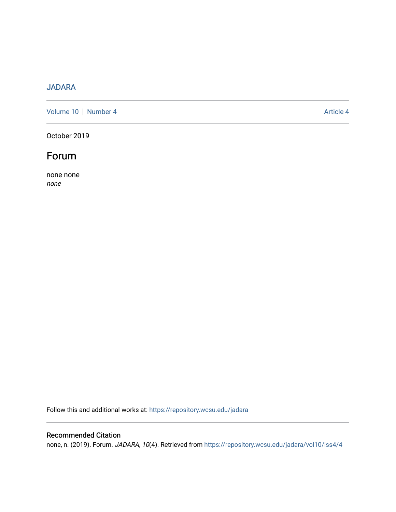# [JADARA](https://repository.wcsu.edu/jadara)

[Volume 10](https://repository.wcsu.edu/jadara/vol10) | [Number 4](https://repository.wcsu.edu/jadara/vol10/iss4) Article 4

October 2019



none none none

Follow this and additional works at: [https://repository.wcsu.edu/jadara](https://repository.wcsu.edu/jadara?utm_source=repository.wcsu.edu%2Fjadara%2Fvol10%2Fiss4%2F4&utm_medium=PDF&utm_campaign=PDFCoverPages)

## Recommended Citation

none, n. (2019). Forum. JADARA, 10(4). Retrieved from https://repository.wcsu.edu/jadara/vol10/iss4/4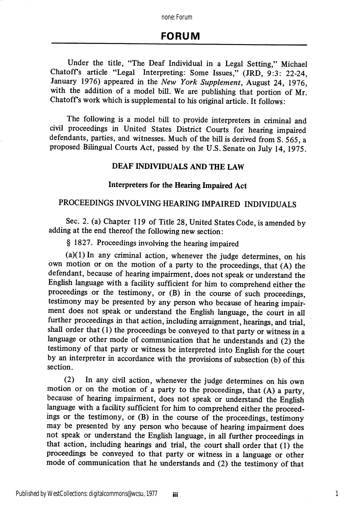none: Forum

## FORUM

Under the title, "The Deaf Individual in a Legal Setting," Michael Chatoffs article "Legal Interpreting: Some Issues," (JRD, 9:3: 22-24, January 1976) appeared in the New York Supplement, August 24, 1976, with the addition of a model bill. We are publishing that portion of Mr. Chatoffs work which is supplemental to his original article. It follows:

The following is a model bill to provide interpreters in criminal and civil proceedings in United States District Courts for hearing impaired defendants, parties, and witnesses. Much of the bill is derived from S. 565, a proposed Bilingual Courts Act, passed by the U.S. Senate on July 14, 1975.

## DEAF INDIVIDUALS AND THE LAW

#### Interpreters for the Hearing Impaired Act

### PROCEEDINGS INVOLVING HEARING IMPAIRED INDIVIDUALS

Sec. 2. (a) Chapter 119 of Title 28, United States Code, is amended by adding at the end thereof the following new section:

§ 1827. Proceedings involving the hearing impaired

 $(a)(1)$  In any criminal action, whenever the judge determines, on his own motion or on the motion of a party to the proceedings, that (A) the defendant, because of hearing impairment, does not speak or understand the English language with a facility sufficient for him to comprehend either the proceedings or the testimony, or (B) in the course of such proceedings, testimony may be presented by any person who because of hearing impair ment does not speak or understand the English language, the court in all further proceedings in that action, including arraignment, hearings, and trial, shall order that (1) the proceedings be conveyed to that party or witness in a language or other mode of commimication that he understands and (2) the testimony of that party or witness be interpreted into English for the court by an interpreter in accordance with the provisions of subsection (b) of this section.

(2) In any civil action, whenever the judge determines on his own motion or on the motion of a party to the proceedings, that (A) a party, because of hearing impairment, does not speak or understand the English language with a facility sufficient for him to comprehend either the proceedings or the testimony, or (B) in the course of the proceedings, testimony may be presented by any person who because of hearing impairment does not speak or understand the English language, in all further proceedings in that action, including hearings and trial, the court shall order that (1) the proceedings be conveyed to that party or witness in a language or other mode of communication that he understands and (2) the testimony of that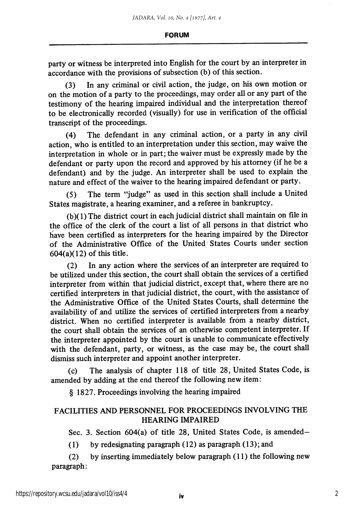party or witness be interpreted into English for the court by an interpreter in accordance with the provisions of subsection (b) of this section.

(3) In any criminal or civil action, the judge, on his own motion or on the motion of a party to the proceedings, may order all or any part of the testimony of the hearing impaired individual and the interpretation thereof to be electronically recorded (visually) for use in verification of the official transcript of the proceedings.

(4) The defendant in any criminal action, or a party in any civil action, who is entitled to an interpretation under this section, may waive the interpretation in whole or in part; the waiver must be expressly made by the defendant or party upon the record and approved by his attorney (if he be a defendant) and by the judge. An interpreter shall be used to explain the nature and effect of the waiver to the hearing impaired defendant or party.

(5) The term "judge" as used in this section shall include a United States magistrate, a hearing examiner, and a referee in bankruptcy.

(b)(1) The district court in each judicial district shall maintain on file in the office of the clerk of the court a list of all persons in that district who have been certified as interpreters for the hearing impaired by the Director of the Administrative Office of the United States Courts under section 604(a)(12) of this title.

(2) In any action where the services of an interpreter are required to be utilized imder this section, the court shall obtain the services of a certified interpreter from within that judicial district, except that, where there are no certified interpreters in that judicial district, the court, with the assistance of the Administrative Office of the United States Courts, shall determine the availability of and utilize the services of certified interpreters from a nearby district. When no certified interpreter is available from a nearby district, the court shall obtain the services of an otherwise competent interpreter. If the interpreter appointed by the court is unable to communicate effectively with the defendant, party, or witness, as the case may be, the court shall dismiss such interpreter and appoint another interpreter.

(c) The analysis of chapter 118 of title 28, United States Code, is amended by adding at the end thereof the following new item:

§ 1827. Proceedings involving the hearing impaired

## FACILITIES AND PERSONNEL FOR PROCEEDINGS INVOLVING THE HEARING IMPAIRED

Sec. 3. Section 604(a) of title 28, United States Code, is amended—

(1) by redesignating paragraph (12) as paragraph (13); and

(2) by inserting immediately below paragraph (11) the following new paragraph: